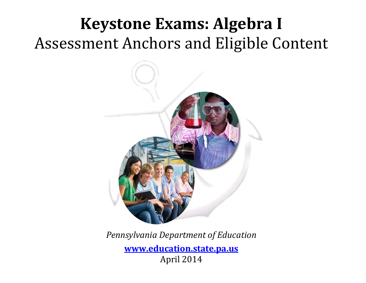# **Keystone Exams: Algebra I** Assessment Anchors and Eligible Content



*Pennsylvania Department of Education* **[www.education.state.pa.us](http://www.education.state.pa.us/)** April 2014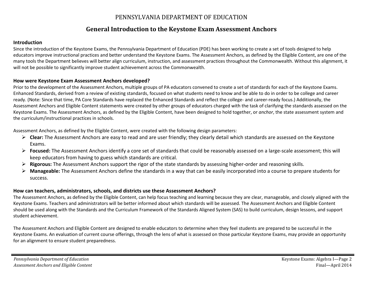### PENNSYLVANIA DEPARTMENT OF EDUCATION

### **General Introduction to the Keystone Exam Assessment Anchors**

#### **Introduction**

Since the introduction of the Keystone Exams, the Pennsylvania Department of Education (PDE) has been working to create a set of tools designed to help educators improve instructional practices and better understand the Keystone Exams. The Assessment Anchors, as defined by the Eligible Content, are one of the many tools the Department believes will better align curriculum, instruction, and assessment practices throughout the Commonwealth. Without this alignment, it will not be possible to significantly improve student achievement across the Commonwealth.

#### **How were Keystone Exam Assessment Anchors developed?**

Prior to the development of the Assessment Anchors, multiple groups of PA educators convened to create a set of standards for each of the Keystone Exams. Enhanced Standards, derived from a review of existing standards, focused on what students need to know and be able to do in order to be college and career ready. (Note: Since that time, PA Core Standards have replaced the Enhanced Standards and reflect the college- and career-ready focus.) Additionally, the Assessment Anchors and Eligible Content statements were created by other groups of educators charged with the task of clarifying the standards assessed on the Keystone Exams. The Assessment Anchors, as defined by the Eligible Content, have been designed to hold together, or *anchor*, the state assessment system and the curriculum/instructional practices in schools.

Assessment Anchors, as defined by the Eligible Content, were created with the following design parameters:

- **Clear:** The Assessment Anchors are easy to read and are user friendly; they clearly detail which standards are assessed on the Keystone Exams.
- **Focused:** The Assessment Anchors identify a core set of standards that could be reasonably assessed on a large-scale assessment; this will keep educators from having to guess which standards are critical.
- **Rigorous:** The Assessment Anchors support the rigor of the state standards by assessing higher-order and reasoning skills.
- **Manageable:** The Assessment Anchors define the standards in a way that can be easily incorporated into a course to prepare students for success.

#### **How can teachers, administrators, schools, and districts use these Assessment Anchors?**

The Assessment Anchors, as defined by the Eligible Content, can help focus teaching and learning because they are clear, manageable, and closely aligned with the Keystone Exams. Teachers and administrators will be better informed about which standards will be assessed. The Assessment Anchors and Eligible Content should be used along with the Standards and the Curriculum Framework of the Standards Aligned System (SAS) to build curriculum, design lessons, and support student achievement.

The Assessment Anchors and Eligible Content are designed to enable educators to determine when they feel students are prepared to be successful in the Keystone Exams. An evaluation of current course offerings, through the lens of what is assessed on those particular Keystone Exams, may provide an opportunity for an alignment to ensure student preparedness.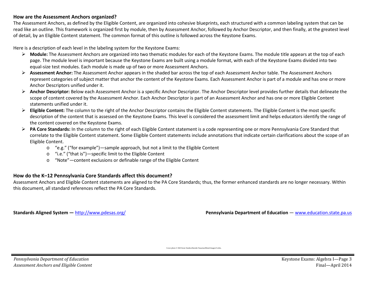#### **How are the Assessment Anchors organized?**

The Assessment Anchors, as defined by the Eligible Content, are organized into cohesive blueprints, each structured with a common labeling system that can be read like an outline. This framework is organized first by module, then by Assessment Anchor, followed by Anchor Descriptor, and then finally, at the greatest level of detail, by an Eligible Content statement. The common format of this outline is followed across the Keystone Exams.

Here is a description of each level in the labeling system for the Keystone Exams:

- **Module:** The Assessment Anchors are organized into two thematic modules for each of the Keystone Exams. The module title appears at the top of each page. The module level is important because the Keystone Exams are built using a module format, with each of the Keystone Exams divided into two equal-size test modules. Each module is made up of two or more Assessment Anchors.
- **Assessment Anchor:** The Assessment Anchor appears in the shaded bar across the top of each Assessment Anchor table. The Assessment Anchors represent categories of subject matter that anchor the content of the Keystone Exams. Each Assessment Anchor is part of a module and has one or more Anchor Descriptors unified under it.
- **Anchor Descriptor:** Below each Assessment Anchor is a specific Anchor Descriptor. The Anchor Descriptor level provides further details that delineate the scope of content covered by the Assessment Anchor. Each Anchor Descriptor is part of an Assessment Anchor and has one or more Eligible Content statements unified under it.
- **Eligible Content:** The column to the right of the Anchor Descriptor contains the Eligible Content statements. The Eligible Content is the most specific description of the content that is assessed on the Keystone Exams. This level is considered the assessment limit and helps educators identify the range of the content covered on the Keystone Exams.
- **PA Core Standards:** In the column to the right of each Eligible Content statement is a code representing one or more Pennsylvania Core Standard that correlate to the Eligible Content statement. Some Eligible Content statements include annotations that indicate certain clarifications about the scope of an Eligible Content.
	- o "e.g." ("for example")—sample approach, but not a limit to the Eligible Content
	- o "i.e." ("that is")—specific limit to the Eligible Content
	- o "Note"—content exclusions or definable range of the Eligible Content

#### **How do the K–12 Pennsylvania Core Standards affect this document?**

Assessment Anchors and Eligible Content statements are aligned to the PA Core Standards; thus, the former enhanced standards are no longer necessary. Within this document, all standard references reflect the PA Core Standards.

**Standards Aligned System —** <http://www.pdesas.org/> **Pennsylvania Department of Education** — [www.education.state.pa.us](http://www.education.state.pa.us/)

Cover photo © Hill Street Studios/Harmik Nazarian/Blend Images/Corbis.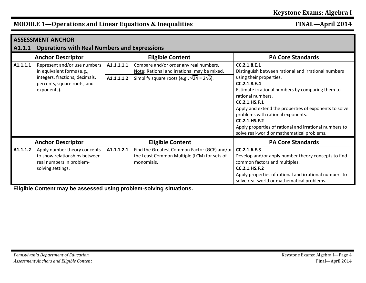| A1.1.1   | <b>ASSESSMENT ANCHOR</b><br><b>Operations with Real Numbers and Expressions</b>                                                            |                          |                                                                                                                                                     |                                                                                                                                                                                                                                                                                                                                                                                                                                 |  |  |  |
|----------|--------------------------------------------------------------------------------------------------------------------------------------------|--------------------------|-----------------------------------------------------------------------------------------------------------------------------------------------------|---------------------------------------------------------------------------------------------------------------------------------------------------------------------------------------------------------------------------------------------------------------------------------------------------------------------------------------------------------------------------------------------------------------------------------|--|--|--|
|          | <b>Anchor Descriptor</b>                                                                                                                   |                          | <b>Eligible Content</b>                                                                                                                             | <b>PA Core Standards</b>                                                                                                                                                                                                                                                                                                                                                                                                        |  |  |  |
| A1.1.1.1 | Represent and/or use numbers<br>in equivalent forms (e.g.,<br>integers, fractions, decimals,<br>percents, square roots, and<br>exponents). | A1.1.1.1.1<br>A1.1.1.1.2 | Compare and/or order any real numbers.<br>Note: Rational and irrational may be mixed.<br>Simplify square roots (e.g., $\sqrt{24}$ = 2 $\sqrt{6}$ ). | CC.2.1.8.E.1<br>Distinguish between rational and irrational numbers<br>using their properties.<br>CC.2.1.8.E.4<br>Estimate irrational numbers by comparing them to<br>rational numbers.<br>CC.2.1.HS.F.1<br>Apply and extend the properties of exponents to solve<br>problems with rational exponents.<br>CC.2.1.HS.F.2<br>Apply properties of rational and irrational numbers to<br>solve real-world or mathematical problems. |  |  |  |
|          | <b>Anchor Descriptor</b>                                                                                                                   |                          | <b>Eligible Content</b>                                                                                                                             | <b>PA Core Standards</b>                                                                                                                                                                                                                                                                                                                                                                                                        |  |  |  |
| A1.1.1.2 | Apply number theory concepts<br>to show relationships between<br>real numbers in problem-<br>solving settings.                             | A1.1.1.2.1               | Find the Greatest Common Factor (GCF) and/or<br>the Least Common Multiple (LCM) for sets of<br>monomials.                                           | CC.2.1.6.E.3<br>Develop and/or apply number theory concepts to find<br>common factors and multiples.<br>CC.2.1.HS.F.2<br>Apply properties of rational and irrational numbers to<br>solve real-world or mathematical problems.                                                                                                                                                                                                   |  |  |  |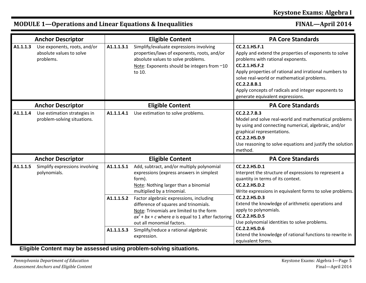|          | <b>Anchor Descriptor</b>                                              |            | <b>Eligible Content</b>                                                                                                                                                                                              | <b>PA Core Standards</b>                                                                                                                                                                                                                                                                                                                               |
|----------|-----------------------------------------------------------------------|------------|----------------------------------------------------------------------------------------------------------------------------------------------------------------------------------------------------------------------|--------------------------------------------------------------------------------------------------------------------------------------------------------------------------------------------------------------------------------------------------------------------------------------------------------------------------------------------------------|
| A1.1.1.3 | Use exponents, roots, and/or<br>absolute values to solve<br>problems. | A1.1.1.3.1 | Simplify/evaluate expressions involving<br>properties/laws of exponents, roots, and/or<br>absolute values to solve problems.<br>Note: Exponents should be integers from -10<br>to 10.                                | CC.2.1.HS.F.1<br>Apply and extend the properties of exponents to solve<br>problems with rational exponents.<br><b>CC.2.1.HS.F.2</b><br>Apply properties of rational and irrational numbers to<br>solve real-world or mathematical problems.<br>CC.2.2.8.B.1<br>Apply concepts of radicals and integer exponents to<br>generate equivalent expressions. |
|          | <b>Anchor Descriptor</b>                                              |            | <b>Eligible Content</b>                                                                                                                                                                                              | <b>PA Core Standards</b>                                                                                                                                                                                                                                                                                                                               |
| A1.1.1.4 | Use estimation strategies in<br>problem-solving situations.           | A1.1.1.4.1 | Use estimation to solve problems.                                                                                                                                                                                    | CC.2.2.7.B.3<br>Model and solve real-world and mathematical problems<br>by using and connecting numerical, algebraic, and/or<br>graphical representations.<br>CC.2.2.HS.D.9<br>Use reasoning to solve equations and justify the solution<br>method.                                                                                                    |
|          | <b>Anchor Descriptor</b>                                              |            | <b>Eligible Content</b>                                                                                                                                                                                              | <b>PA Core Standards</b>                                                                                                                                                                                                                                                                                                                               |
| A1.1.1.5 | Simplify expressions involving<br>polynomials.                        | A1.1.1.5.1 | Add, subtract, and/or multiply polynomial<br>expressions (express answers in simplest<br>form).<br>Note: Nothing larger than a binomial<br>multiplied by a trinomial.                                                | CC.2.2.HS.D.1<br>Interpret the structure of expressions to represent a<br>quantity in terms of its context.<br><b>CC.2.2.HS.D.2</b><br>Write expressions in equivalent forms to solve problems.                                                                                                                                                        |
|          |                                                                       | A1.1.1.5.2 | Factor algebraic expressions, including<br>difference of squares and trinomials.<br>Note: Trinomials are limited to the form<br>$ax^{2}$ + bx + c where a is equal to 1 after factoring<br>out all monomial factors. | CC.2.2.HS.D.3<br>Extend the knowledge of arithmetic operations and<br>apply to polynomials.<br><b>CC.2.2.HS.D.5</b><br>Use polynomial identities to solve problems.                                                                                                                                                                                    |
|          |                                                                       | A1.1.1.5.3 | Simplify/reduce a rational algebraic<br>expression.                                                                                                                                                                  | <b>CC.2.2.HS.D.6</b><br>Extend the knowledge of rational functions to rewrite in<br>equivalent forms.                                                                                                                                                                                                                                                  |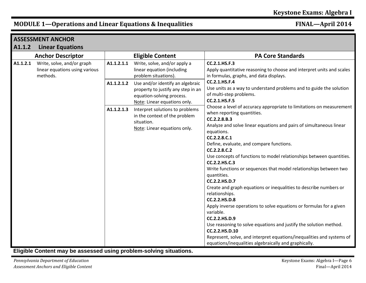|          | <b>ASSESSMENT ANCHOR</b>                                                 |            |                                                                                                                                     |                                                                                                                                                                                                                                                                                                                                                                                                                                                                                                                                                                                                                                                                                                                                                                                                                                                                                                                                       |  |  |
|----------|--------------------------------------------------------------------------|------------|-------------------------------------------------------------------------------------------------------------------------------------|---------------------------------------------------------------------------------------------------------------------------------------------------------------------------------------------------------------------------------------------------------------------------------------------------------------------------------------------------------------------------------------------------------------------------------------------------------------------------------------------------------------------------------------------------------------------------------------------------------------------------------------------------------------------------------------------------------------------------------------------------------------------------------------------------------------------------------------------------------------------------------------------------------------------------------------|--|--|
| A1.1.2   | <b>Linear Equations</b>                                                  |            |                                                                                                                                     |                                                                                                                                                                                                                                                                                                                                                                                                                                                                                                                                                                                                                                                                                                                                                                                                                                                                                                                                       |  |  |
|          | <b>Anchor Descriptor</b>                                                 |            | <b>Eligible Content</b>                                                                                                             | <b>PA Core Standards</b>                                                                                                                                                                                                                                                                                                                                                                                                                                                                                                                                                                                                                                                                                                                                                                                                                                                                                                              |  |  |
| A1.1.2.1 | Write, solve, and/or graph<br>linear equations using various<br>methods. | A1.1.2.1.1 | Write, solve, and/or apply a<br>linear equation (including<br>problem situations).                                                  | CC.2.1.HS.F.3<br>Apply quantitative reasoning to choose and interpret units and scales<br>in formulas, graphs, and data displays.                                                                                                                                                                                                                                                                                                                                                                                                                                                                                                                                                                                                                                                                                                                                                                                                     |  |  |
|          |                                                                          | A1.1.2.1.2 | Use and/or identify an algebraic<br>property to justify any step in an<br>equation-solving process.<br>Note: Linear equations only. | CC.2.1.HS.F.4<br>Use units as a way to understand problems and to guide the solution<br>of multi-step problems.<br>CC.2.1.HS.F.5                                                                                                                                                                                                                                                                                                                                                                                                                                                                                                                                                                                                                                                                                                                                                                                                      |  |  |
|          |                                                                          | A1.1.2.1.3 | Interpret solutions to problems<br>in the context of the problem<br>situation.<br>Note: Linear equations only.                      | Choose a level of accuracy appropriate to limitations on measurement<br>when reporting quantities.<br>CC.2.2.8.B.3<br>Analyze and solve linear equations and pairs of simultaneous linear<br>equations.<br>CC.2.2.8.C.1<br>Define, evaluate, and compare functions.<br>CC.2.2.8.C.2<br>Use concepts of functions to model relationships between quantities.<br>CC.2.2.HS.C.3<br>Write functions or sequences that model relationships between two<br>quantities.<br>CC.2.2.HS.D.7<br>Create and graph equations or inequalities to describe numbers or<br>relationships.<br><b>CC.2.2.HS.D.8</b><br>Apply inverse operations to solve equations or formulas for a given<br>variable.<br><b>CC.2.2.HS.D.9</b><br>Use reasoning to solve equations and justify the solution method.<br>CC.2.2.HS.D.10<br>Represent, solve, and interpret equations/inequalities and systems of<br>equations/inequalities algebraically and graphically. |  |  |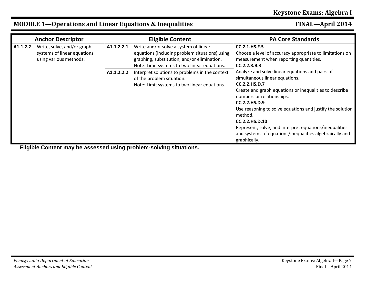|          | <b>Anchor Descriptor</b>                                                                          |                                                                                                                                                                                        | <b>Eligible Content</b>                                                                                                                    | <b>PA Core Standards</b>                                                                                                                                                                                                                                                                                                                                                                                                                         |
|----------|---------------------------------------------------------------------------------------------------|----------------------------------------------------------------------------------------------------------------------------------------------------------------------------------------|--------------------------------------------------------------------------------------------------------------------------------------------|--------------------------------------------------------------------------------------------------------------------------------------------------------------------------------------------------------------------------------------------------------------------------------------------------------------------------------------------------------------------------------------------------------------------------------------------------|
| A1.1.2.2 | Write, solve, and/or graph<br>A1.1.2.2.1<br>systems of linear equations<br>using various methods. | Write and/or solve a system of linear<br>equations (including problem situations) using<br>graphing, substitution, and/or elimination.<br>Note: Limit systems to two linear equations. | <b>CC.2.1.HS.F.5</b><br>Choose a level of accuracy appropriate to limitations on<br>measurement when reporting quantities.<br>CC.2.2.8.B.3 |                                                                                                                                                                                                                                                                                                                                                                                                                                                  |
|          |                                                                                                   | A1.1.2.2.2                                                                                                                                                                             | Interpret solutions to problems in the context<br>of the problem situation.<br>Note: Limit systems to two linear equations.                | Analyze and solve linear equations and pairs of<br>simultaneous linear equations.<br>CC.2.2.HS.D.7<br>Create and graph equations or inequalities to describe<br>numbers or relationships.<br><b>CC.2.2.HS.D.9</b><br>Use reasoning to solve equations and justify the solution<br>method.<br>CC.2.2.HS.D.10<br>Represent, solve, and interpret equations/inequalities<br>and systems of equations/inequalities algebraically and<br>graphically. |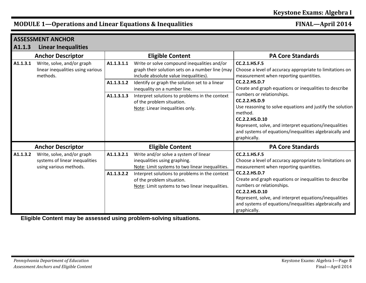|                          | <b>ASSESSMENT ANCHOR</b>                                                               |                          |                                                                                                                                                                                                                                                            |                                                                                                                                                                                                                                                                                                         |
|--------------------------|----------------------------------------------------------------------------------------|--------------------------|------------------------------------------------------------------------------------------------------------------------------------------------------------------------------------------------------------------------------------------------------------|---------------------------------------------------------------------------------------------------------------------------------------------------------------------------------------------------------------------------------------------------------------------------------------------------------|
| A1.1.3                   | <b>Linear Inequalities</b>                                                             |                          |                                                                                                                                                                                                                                                            |                                                                                                                                                                                                                                                                                                         |
|                          | <b>Anchor Descriptor</b>                                                               | <b>Eligible Content</b>  |                                                                                                                                                                                                                                                            | <b>PA Core Standards</b>                                                                                                                                                                                                                                                                                |
| A1.1.3.1                 | Write, solve, and/or graph<br>linear inequalities using various<br>methods.            | A1.1.3.1.1               | Write or solve compound inequalities and/or<br>graph their solution sets on a number line (may<br>include absolute value inequalities).                                                                                                                    | CC.2.1.HS.F.5<br>Choose a level of accuracy appropriate to limitations on<br>measurement when reporting quantities.                                                                                                                                                                                     |
|                          |                                                                                        | A1.1.3.1.2               | Identify or graph the solution set to a linear<br>inequality on a number line.                                                                                                                                                                             | CC.2.2.HS.D.7<br>Create and graph equations or inequalities to describe                                                                                                                                                                                                                                 |
|                          |                                                                                        | A1.1.3.1.3               | Interpret solutions to problems in the context<br>of the problem situation.<br>Note: Linear inequalities only.                                                                                                                                             | numbers or relationships.<br><b>CC.2.2.HS.D.9</b><br>Use reasoning to solve equations and justify the solution<br>method.<br>CC.2.2.HS.D.10<br>Represent, solve, and interpret equations/inequalities<br>and systems of equations/inequalities algebraically and<br>graphically.                        |
| <b>Anchor Descriptor</b> |                                                                                        |                          | <b>Eligible Content</b>                                                                                                                                                                                                                                    | <b>PA Core Standards</b>                                                                                                                                                                                                                                                                                |
| A1.1.3.2                 | Write, solve, and/or graph<br>systems of linear inequalities<br>using various methods. | A1.1.3.2.1<br>A1.1.3.2.2 | Write and/or solve a system of linear<br>inequalities using graphing.<br>Note: Limit systems to two linear inequalities.<br>Interpret solutions to problems in the context<br>of the problem situation.<br>Note: Limit systems to two linear inequalities. | CC.2.1.HS.F.5<br>Choose a level of accuracy appropriate to limitations on<br>measurement when reporting quantities.<br>CC.2.2.HS.D.7<br>Create and graph equations or inequalities to describe<br>numbers or relationships.<br>CC.2.2.HS.D.10<br>Represent, solve, and interpret equations/inequalities |
|                          |                                                                                        |                          |                                                                                                                                                                                                                                                            | and systems of equations/inequalities algebraically and<br>graphically.                                                                                                                                                                                                                                 |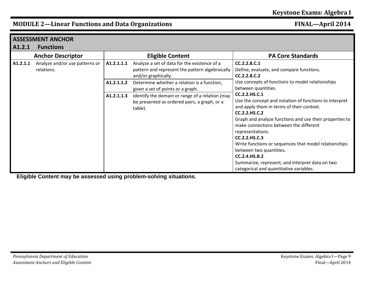|          | <b>ASSESSMENT ANCHOR</b>                     |            |                                                                                                                        |                                                                                                                                                                                                                                                                                                                                                                                                                                                                                           |  |  |
|----------|----------------------------------------------|------------|------------------------------------------------------------------------------------------------------------------------|-------------------------------------------------------------------------------------------------------------------------------------------------------------------------------------------------------------------------------------------------------------------------------------------------------------------------------------------------------------------------------------------------------------------------------------------------------------------------------------------|--|--|
| A1.2.1   | <b>Functions</b>                             |            |                                                                                                                        |                                                                                                                                                                                                                                                                                                                                                                                                                                                                                           |  |  |
|          | <b>Anchor Descriptor</b>                     |            | <b>Eligible Content</b>                                                                                                | <b>PA Core Standards</b>                                                                                                                                                                                                                                                                                                                                                                                                                                                                  |  |  |
| A1.2.1.1 | Analyze and/or use patterns or<br>relations. | A1.2.1.1.1 | Analyze a set of data for the existence of a<br>pattern and represent the pattern algebraically<br>and/or graphically. | CC.2.2.8.C.1<br>Define, evaluate, and compare functions.<br>CC.2.2.8.C.2                                                                                                                                                                                                                                                                                                                                                                                                                  |  |  |
|          |                                              | A1.2.1.1.2 | Determine whether a relation is a function,<br>given a set of points or a graph.                                       | Use concepts of functions to model relationships<br>between quantities.                                                                                                                                                                                                                                                                                                                                                                                                                   |  |  |
|          |                                              | A1.2.1.1.3 | Identify the domain or range of a relation (may<br>be presented as ordered pairs, a graph, or a<br>table).             | <b>CC.2.2.HS.C.1</b><br>Use the concept and notation of functions to interpret<br>and apply them in terms of their context.<br>CC.2.2.HS.C.2<br>Graph and analyze functions and use their properties to<br>make connections between the different<br>representations.<br>CC.2.2.HS.C.3<br>Write functions or sequences that model relationships<br>between two quantities.<br>CC.2.4.HS.B.2<br>Summarize, represent, and interpret data on two<br>categorical and quantitative variables. |  |  |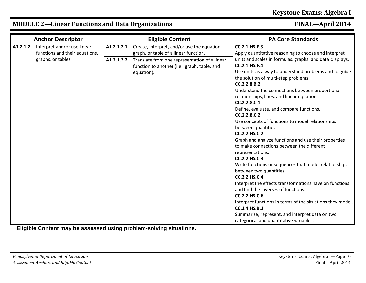|          | <b>Anchor Descriptor</b>                                                            |                          | <b>Eligible Content</b>                                                                                                               | <b>PA Core Standards</b>                                                                                                                                                                                                                                                                                                                                                                                                                                                                                                                                                                                                                                                                                                                                                                                                                                                                                                                                               |
|----------|-------------------------------------------------------------------------------------|--------------------------|---------------------------------------------------------------------------------------------------------------------------------------|------------------------------------------------------------------------------------------------------------------------------------------------------------------------------------------------------------------------------------------------------------------------------------------------------------------------------------------------------------------------------------------------------------------------------------------------------------------------------------------------------------------------------------------------------------------------------------------------------------------------------------------------------------------------------------------------------------------------------------------------------------------------------------------------------------------------------------------------------------------------------------------------------------------------------------------------------------------------|
| A1.2.1.2 | Interpret and/or use linear<br>functions and their equations,<br>graphs, or tables. | A1.2.1.2.1<br>A1.2.1.2.2 | Create, interpret, and/or use the equation,<br>graph, or table of a linear function.<br>Translate from one representation of a linear | CC.2.1.HS.F.3<br>Apply quantitative reasoning to choose and interpret<br>units and scales in formulas, graphs, and data displays.                                                                                                                                                                                                                                                                                                                                                                                                                                                                                                                                                                                                                                                                                                                                                                                                                                      |
|          |                                                                                     |                          | function to another (i.e., graph, table, and<br>equation).                                                                            | CC.2.1.HS.F.4<br>Use units as a way to understand problems and to guide<br>the solution of multi-step problems.<br>CC.2.2.8.B.2<br>Understand the connections between proportional<br>relationships, lines, and linear equations.<br>CC.2.2.8.C.1<br>Define, evaluate, and compare functions.<br>CC.2.2.8.C.2<br>Use concepts of functions to model relationships<br>between quantities.<br>CC.2.2.HS.C.2<br>Graph and analyze functions and use their properties<br>to make connections between the different<br>representations.<br>CC.2.2.HS.C.3<br>Write functions or sequences that model relationships<br>between two quantities.<br>CC.2.2.HS.C.4<br>Interpret the effects transformations have on functions<br>and find the inverses of functions.<br><b>CC.2.2.HS.C.6</b><br>Interpret functions in terms of the situations they model.<br><b>CC.2.4.HS.B.2</b><br>Summarize, represent, and interpret data on two<br>categorical and quantitative variables. |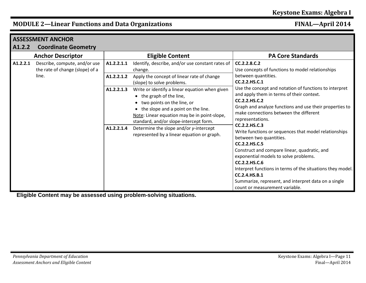|          | <b>ASSESSMENT ANCHOR</b>                                                  |                                                      |                                                                                                                                                                                                                                                                                                                                                                                                                                                                                 |                                                                                                                                                                                                                                                                                                                                                                                                                                                                                                                                                                                                                                                         |
|----------|---------------------------------------------------------------------------|------------------------------------------------------|---------------------------------------------------------------------------------------------------------------------------------------------------------------------------------------------------------------------------------------------------------------------------------------------------------------------------------------------------------------------------------------------------------------------------------------------------------------------------------|---------------------------------------------------------------------------------------------------------------------------------------------------------------------------------------------------------------------------------------------------------------------------------------------------------------------------------------------------------------------------------------------------------------------------------------------------------------------------------------------------------------------------------------------------------------------------------------------------------------------------------------------------------|
| A1.2.2   | <b>Coordinate Geometry</b>                                                |                                                      |                                                                                                                                                                                                                                                                                                                                                                                                                                                                                 |                                                                                                                                                                                                                                                                                                                                                                                                                                                                                                                                                                                                                                                         |
|          | <b>Anchor Descriptor</b>                                                  |                                                      | <b>Eligible Content</b>                                                                                                                                                                                                                                                                                                                                                                                                                                                         | <b>PA Core Standards</b>                                                                                                                                                                                                                                                                                                                                                                                                                                                                                                                                                                                                                                |
| A1.2.2.1 | Describe, compute, and/or use<br>the rate of change (slope) of a<br>line. | A1.2.2.1.1<br>A1.2.2.1.2<br>A1.2.2.1.3<br>A1.2.2.1.4 | Identify, describe, and/or use constant rates of<br>change.<br>Apply the concept of linear rate of change<br>(slope) to solve problems.<br>Write or identify a linear equation when given<br>• the graph of the line,<br>• two points on the line, or<br>• the slope and a point on the line.<br>Note: Linear equation may be in point-slope,<br>standard, and/or slope-intercept form.<br>Determine the slope and/or y-intercept<br>represented by a linear equation or graph. | CC.2.2.8.C.2<br>Use concepts of functions to model relationships<br>between quantities.<br>CC.2.2.HS.C.1<br>Use the concept and notation of functions to interpret<br>and apply them in terms of their context.<br>CC.2.2.HS.C.2<br>Graph and analyze functions and use their properties to<br>make connections between the different<br>representations.<br>CC.2.2.HS.C.3<br>Write functions or sequences that model relationships<br>between two quantities.<br>CC.2.2.HS.C.5<br>Construct and compare linear, quadratic, and<br>exponential models to solve problems.<br>CC.2.2.HS.C.6<br>Interpret functions in terms of the situations they model. |
|          |                                                                           |                                                      |                                                                                                                                                                                                                                                                                                                                                                                                                                                                                 | CC.2.4.HS.B.1<br>Summarize, represent, and interpret data on a single<br>count or measurement variable.                                                                                                                                                                                                                                                                                                                                                                                                                                                                                                                                                 |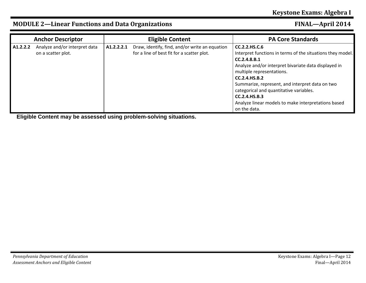#### **Anchor Descriptor Eligible Content PA Core Standards A1.2.2.2** Analyze and/or interpret data on a scatter plot. **A1.2.2.2.1** Draw, identify, find, and/or write an equation for a line of best fit for a scatter plot. **CC.2.2.HS.C.6** Interpret functions in terms of the situations they model. **CC.2.4.8.B.1** Analyze and/or interpret bivariate data displayed in multiple representations. **CC.2.4.HS.B.2** Summarize, represent, and interpret data on two categorical and quantitative variables. **CC.2.4.HS.B.3** Analyze linear models to make interpretations based on the data.